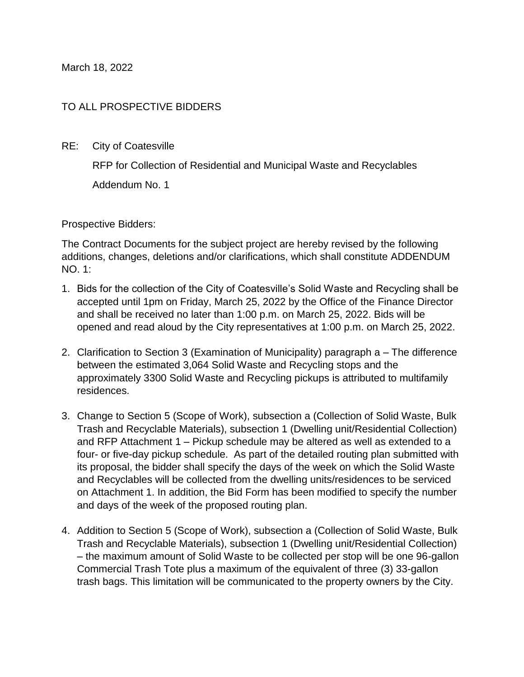March 18, 2022

## TO ALL PROSPECTIVE BIDDERS

RE: City of Coatesville

RFP for Collection of Residential and Municipal Waste and Recyclables

Addendum No. 1

Prospective Bidders:

The Contract Documents for the subject project are hereby revised by the following additions, changes, deletions and/or clarifications, which shall constitute ADDENDUM NO. 1:

- 1. Bids for the collection of the City of Coatesville's Solid Waste and Recycling shall be accepted until 1pm on Friday, March 25, 2022 by the Office of the Finance Director and shall be received no later than 1:00 p.m. on March 25, 2022. Bids will be opened and read aloud by the City representatives at 1:00 p.m. on March 25, 2022.
- 2. Clarification to Section 3 (Examination of Municipality) paragraph a The difference between the estimated 3,064 Solid Waste and Recycling stops and the approximately 3300 Solid Waste and Recycling pickups is attributed to multifamily residences.
- 3. Change to Section 5 (Scope of Work), subsection a (Collection of Solid Waste, Bulk Trash and Recyclable Materials), subsection 1 (Dwelling unit/Residential Collection) and RFP Attachment 1 – Pickup schedule may be altered as well as extended to a four- or five-day pickup schedule. As part of the detailed routing plan submitted with its proposal, the bidder shall specify the days of the week on which the Solid Waste and Recyclables will be collected from the dwelling units/residences to be serviced on Attachment 1. In addition, the Bid Form has been modified to specify the number and days of the week of the proposed routing plan.
- 4. Addition to Section 5 (Scope of Work), subsection a (Collection of Solid Waste, Bulk Trash and Recyclable Materials), subsection 1 (Dwelling unit/Residential Collection) – the maximum amount of Solid Waste to be collected per stop will be one 96-gallon Commercial Trash Tote plus a maximum of the equivalent of three (3) 33-gallon trash bags. This limitation will be communicated to the property owners by the City.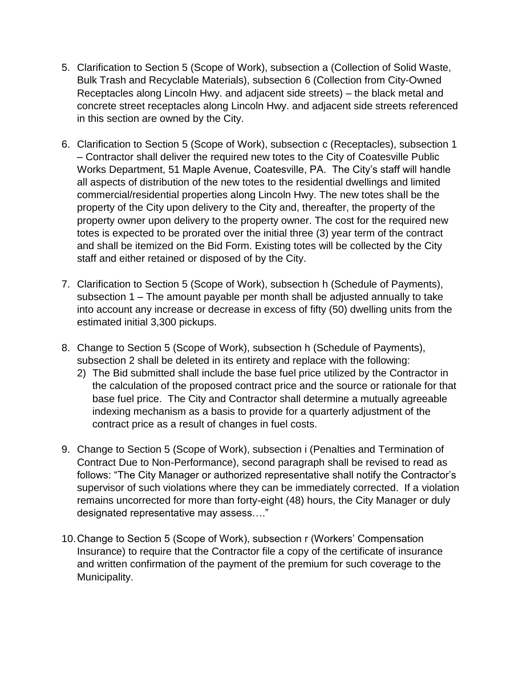- 5. Clarification to Section 5 (Scope of Work), subsection a (Collection of Solid Waste, Bulk Trash and Recyclable Materials), subsection 6 (Collection from City-Owned Receptacles along Lincoln Hwy. and adjacent side streets) – the black metal and concrete street receptacles along Lincoln Hwy. and adjacent side streets referenced in this section are owned by the City.
- 6. Clarification to Section 5 (Scope of Work), subsection c (Receptacles), subsection 1 – Contractor shall deliver the required new totes to the City of Coatesville Public Works Department, 51 Maple Avenue, Coatesville, PA. The City's staff will handle all aspects of distribution of the new totes to the residential dwellings and limited commercial/residential properties along Lincoln Hwy. The new totes shall be the property of the City upon delivery to the City and, thereafter, the property of the property owner upon delivery to the property owner. The cost for the required new totes is expected to be prorated over the initial three (3) year term of the contract and shall be itemized on the Bid Form. Existing totes will be collected by the City staff and either retained or disposed of by the City.
- 7. Clarification to Section 5 (Scope of Work), subsection h (Schedule of Payments), subsection 1 – The amount payable per month shall be adjusted annually to take into account any increase or decrease in excess of fifty (50) dwelling units from the estimated initial 3,300 pickups.
- 8. Change to Section 5 (Scope of Work), subsection h (Schedule of Payments), subsection 2 shall be deleted in its entirety and replace with the following:
	- 2) The Bid submitted shall include the base fuel price utilized by the Contractor in the calculation of the proposed contract price and the source or rationale for that base fuel price. The City and Contractor shall determine a mutually agreeable indexing mechanism as a basis to provide for a quarterly adjustment of the contract price as a result of changes in fuel costs.
- 9. Change to Section 5 (Scope of Work), subsection i (Penalties and Termination of Contract Due to Non-Performance), second paragraph shall be revised to read as follows: "The City Manager or authorized representative shall notify the Contractor's supervisor of such violations where they can be immediately corrected. If a violation remains uncorrected for more than forty-eight (48) hours, the City Manager or duly designated representative may assess…."
- 10.Change to Section 5 (Scope of Work), subsection r (Workers' Compensation Insurance) to require that the Contractor file a copy of the certificate of insurance and written confirmation of the payment of the premium for such coverage to the Municipality.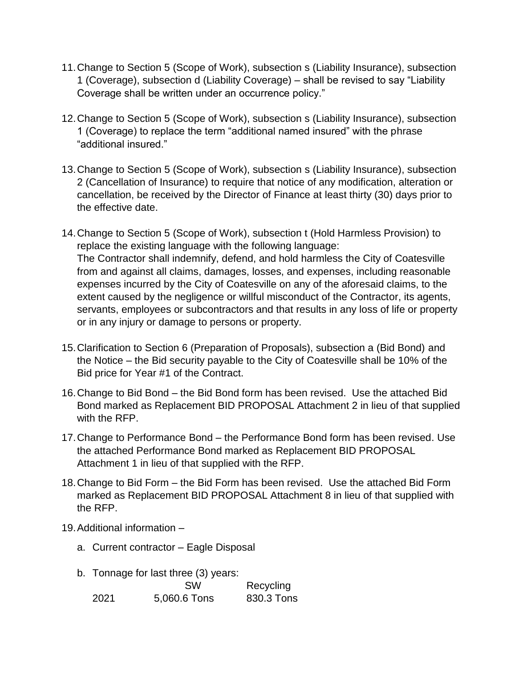- 11.Change to Section 5 (Scope of Work), subsection s (Liability Insurance), subsection 1 (Coverage), subsection d (Liability Coverage) – shall be revised to say "Liability Coverage shall be written under an occurrence policy."
- 12.Change to Section 5 (Scope of Work), subsection s (Liability Insurance), subsection 1 (Coverage) to replace the term "additional named insured" with the phrase "additional insured."
- 13.Change to Section 5 (Scope of Work), subsection s (Liability Insurance), subsection 2 (Cancellation of Insurance) to require that notice of any modification, alteration or cancellation, be received by the Director of Finance at least thirty (30) days prior to the effective date.
- 14.Change to Section 5 (Scope of Work), subsection t (Hold Harmless Provision) to replace the existing language with the following language: The Contractor shall indemnify, defend, and hold harmless the City of Coatesville from and against all claims, damages, losses, and expenses, including reasonable expenses incurred by the City of Coatesville on any of the aforesaid claims, to the extent caused by the negligence or willful misconduct of the Contractor, its agents, servants, employees or subcontractors and that results in any loss of life or property or in any injury or damage to persons or property.
- 15.Clarification to Section 6 (Preparation of Proposals), subsection a (Bid Bond) and the Notice – the Bid security payable to the City of Coatesville shall be 10% of the Bid price for Year #1 of the Contract.
- 16.Change to Bid Bond the Bid Bond form has been revised. Use the attached Bid Bond marked as Replacement BID PROPOSAL Attachment 2 in lieu of that supplied with the RFP.
- 17.Change to Performance Bond the Performance Bond form has been revised. Use the attached Performance Bond marked as Replacement BID PROPOSAL Attachment 1 in lieu of that supplied with the RFP.
- 18.Change to Bid Form the Bid Form has been revised. Use the attached Bid Form marked as Replacement BID PROPOSAL Attachment 8 in lieu of that supplied with the RFP.
- 19.Additional information
	- a. Current contractor Eagle Disposal
	- b. Tonnage for last three (3) years:

|      | <b>SW</b>    | Recycling  |
|------|--------------|------------|
| 2021 | 5,060.6 Tons | 830.3 Tons |